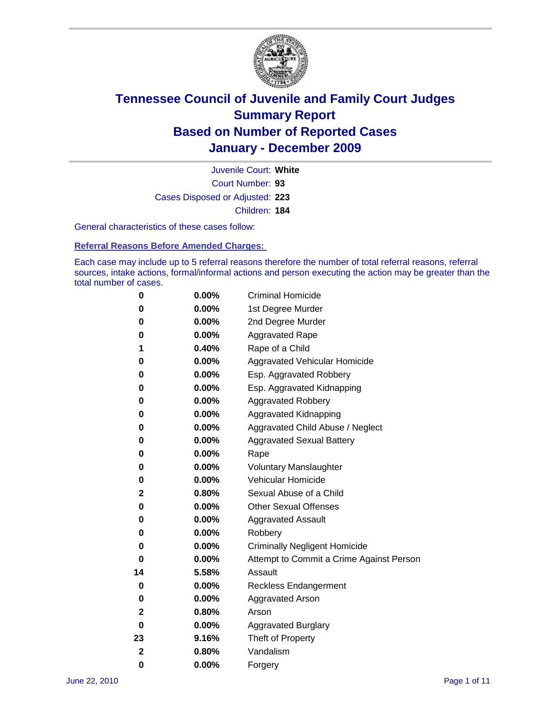

Court Number: **93** Juvenile Court: **White** Cases Disposed or Adjusted: **223** Children: **184**

General characteristics of these cases follow:

**Referral Reasons Before Amended Charges:** 

Each case may include up to 5 referral reasons therefore the number of total referral reasons, referral sources, intake actions, formal/informal actions and person executing the action may be greater than the total number of cases.

| 0  | 0.00%    | <b>Criminal Homicide</b>                 |
|----|----------|------------------------------------------|
| 0  | 0.00%    | 1st Degree Murder                        |
| 0  | 0.00%    | 2nd Degree Murder                        |
| 0  | 0.00%    | <b>Aggravated Rape</b>                   |
| 1  | 0.40%    | Rape of a Child                          |
| 0  | 0.00%    | Aggravated Vehicular Homicide            |
| 0  | 0.00%    | Esp. Aggravated Robbery                  |
| 0  | 0.00%    | Esp. Aggravated Kidnapping               |
| 0  | 0.00%    | <b>Aggravated Robbery</b>                |
| 0  | 0.00%    | Aggravated Kidnapping                    |
| 0  | 0.00%    | Aggravated Child Abuse / Neglect         |
| 0  | 0.00%    | <b>Aggravated Sexual Battery</b>         |
| 0  | 0.00%    | Rape                                     |
| 0  | 0.00%    | <b>Voluntary Manslaughter</b>            |
| 0  | 0.00%    | Vehicular Homicide                       |
| 2  | 0.80%    | Sexual Abuse of a Child                  |
| 0  | 0.00%    | <b>Other Sexual Offenses</b>             |
| 0  | 0.00%    | <b>Aggravated Assault</b>                |
| 0  | 0.00%    | Robbery                                  |
| 0  | 0.00%    | <b>Criminally Negligent Homicide</b>     |
| 0  | 0.00%    | Attempt to Commit a Crime Against Person |
| 14 | 5.58%    | Assault                                  |
| 0  | 0.00%    | <b>Reckless Endangerment</b>             |
| 0  | 0.00%    | <b>Aggravated Arson</b>                  |
| 2  | 0.80%    | Arson                                    |
| 0  | $0.00\%$ | <b>Aggravated Burglary</b>               |
| 23 | 9.16%    | Theft of Property                        |
| 2  | 0.80%    | Vandalism                                |
| 0  | 0.00%    | Forgery                                  |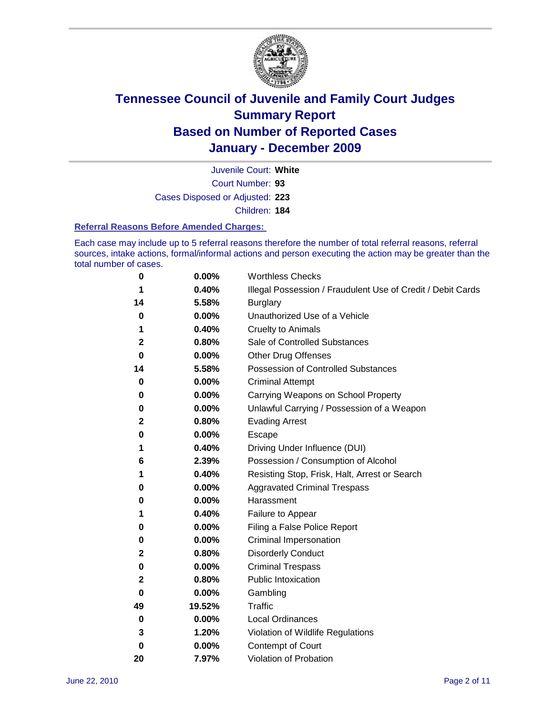

Court Number: **93** Juvenile Court: **White** Cases Disposed or Adjusted: **223** Children: **184**

**Referral Reasons Before Amended Charges:** 

Each case may include up to 5 referral reasons therefore the number of total referral reasons, referral sources, intake actions, formal/informal actions and person executing the action may be greater than the total number of cases.

| 0  | 0.00%  | <b>Worthless Checks</b>                                     |
|----|--------|-------------------------------------------------------------|
| 1  | 0.40%  | Illegal Possession / Fraudulent Use of Credit / Debit Cards |
| 14 | 5.58%  | <b>Burglary</b>                                             |
| 0  | 0.00%  | Unauthorized Use of a Vehicle                               |
| 1  | 0.40%  | <b>Cruelty to Animals</b>                                   |
| 2  | 0.80%  | Sale of Controlled Substances                               |
| 0  | 0.00%  | <b>Other Drug Offenses</b>                                  |
| 14 | 5.58%  | Possession of Controlled Substances                         |
| 0  | 0.00%  | <b>Criminal Attempt</b>                                     |
| 0  | 0.00%  | Carrying Weapons on School Property                         |
| 0  | 0.00%  | Unlawful Carrying / Possession of a Weapon                  |
| 2  | 0.80%  | <b>Evading Arrest</b>                                       |
| 0  | 0.00%  | Escape                                                      |
| 1  | 0.40%  | Driving Under Influence (DUI)                               |
| 6  | 2.39%  | Possession / Consumption of Alcohol                         |
| 1  | 0.40%  | Resisting Stop, Frisk, Halt, Arrest or Search               |
| 0  | 0.00%  | <b>Aggravated Criminal Trespass</b>                         |
| 0  | 0.00%  | Harassment                                                  |
| 1  | 0.40%  | Failure to Appear                                           |
| 0  | 0.00%  | Filing a False Police Report                                |
| 0  | 0.00%  | Criminal Impersonation                                      |
| 2  | 0.80%  | <b>Disorderly Conduct</b>                                   |
| 0  | 0.00%  | <b>Criminal Trespass</b>                                    |
| 2  | 0.80%  | <b>Public Intoxication</b>                                  |
| 0  | 0.00%  | Gambling                                                    |
| 49 | 19.52% | <b>Traffic</b>                                              |
| 0  | 0.00%  | <b>Local Ordinances</b>                                     |
| 3  | 1.20%  | Violation of Wildlife Regulations                           |
| 0  | 0.00%  | Contempt of Court                                           |
| 20 | 7.97%  | Violation of Probation                                      |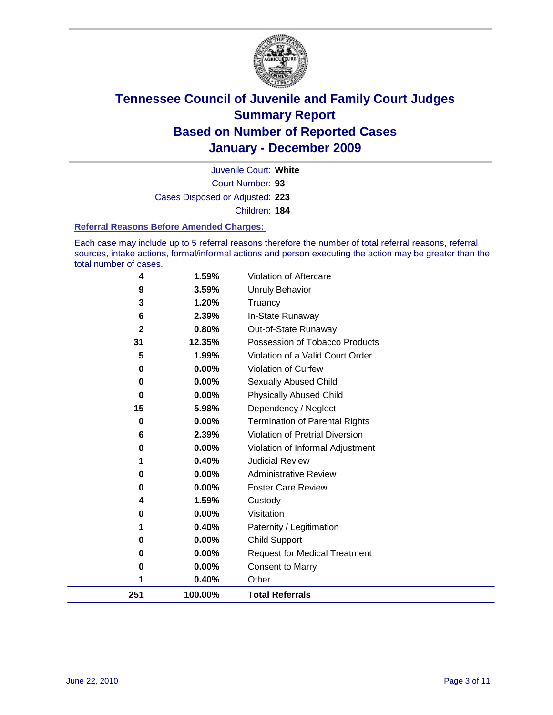

Court Number: **93** Juvenile Court: **White** Cases Disposed or Adjusted: **223** Children: **184**

#### **Referral Reasons Before Amended Charges:**

Each case may include up to 5 referral reasons therefore the number of total referral reasons, referral sources, intake actions, formal/informal actions and person executing the action may be greater than the total number of cases.

| 251          | 100.00%  | <b>Total Referrals</b>                 |
|--------------|----------|----------------------------------------|
| 1            | 0.40%    | Other                                  |
| 0            | 0.00%    | <b>Consent to Marry</b>                |
| 0            | 0.00%    | <b>Request for Medical Treatment</b>   |
| 0            | 0.00%    | <b>Child Support</b>                   |
|              | 0.40%    | Paternity / Legitimation               |
| 0            | 0.00%    | Visitation                             |
| 4            | 1.59%    | Custody                                |
| 0            | 0.00%    | <b>Foster Care Review</b>              |
| 0            | $0.00\%$ | <b>Administrative Review</b>           |
|              | 0.40%    | <b>Judicial Review</b>                 |
| 0            | 0.00%    | Violation of Informal Adjustment       |
| 6            | 2.39%    | <b>Violation of Pretrial Diversion</b> |
| 0            | 0.00%    | Termination of Parental Rights         |
| 15           | 5.98%    | Dependency / Neglect                   |
| $\bf{0}$     | $0.00\%$ | <b>Physically Abused Child</b>         |
| 0            | 0.00%    | Sexually Abused Child                  |
| 0            | 0.00%    | Violation of Curfew                    |
| 5            | 1.99%    | Violation of a Valid Court Order       |
| 31           | 12.35%   | Possession of Tobacco Products         |
| $\mathbf{2}$ | 0.80%    | Out-of-State Runaway                   |
| 6            | 2.39%    | In-State Runaway                       |
| 3            | 1.20%    | Truancy                                |
| 9            | 3.59%    | Unruly Behavior                        |
| 4            | 1.59%    | <b>Violation of Aftercare</b>          |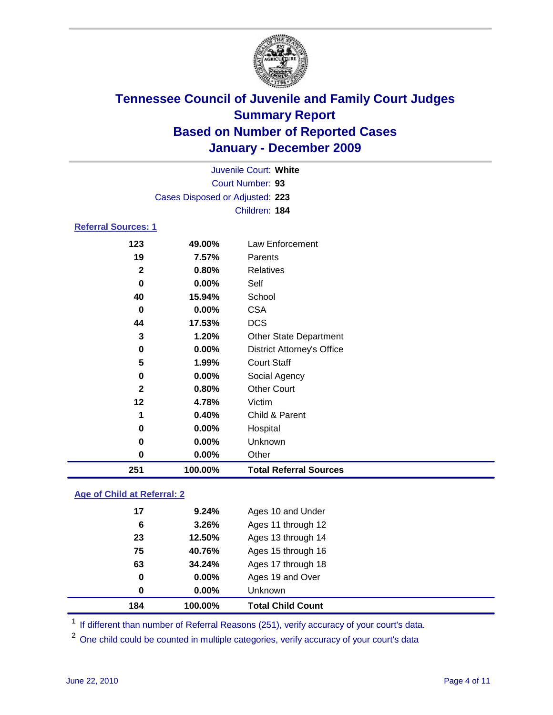

|                            |                                 | Juvenile Court: White             |
|----------------------------|---------------------------------|-----------------------------------|
|                            |                                 | Court Number: 93                  |
|                            | Cases Disposed or Adjusted: 223 |                                   |
|                            |                                 | Children: 184                     |
| <b>Referral Sources: 1</b> |                                 |                                   |
| 123                        | 49.00%                          | Law Enforcement                   |
| 19                         | 7.57%                           | Parents                           |
| $\mathbf{2}$               | 0.80%                           | <b>Relatives</b>                  |
| 0                          | 0.00%                           | Self                              |
| 40                         | 15.94%                          | School                            |
| 0                          | 0.00%                           | <b>CSA</b>                        |
| 44                         | 17.53%                          | <b>DCS</b>                        |
| 3                          | 1.20%                           | <b>Other State Department</b>     |
| 0                          | 0.00%                           | <b>District Attorney's Office</b> |
| 5                          | 1.99%                           | <b>Court Staff</b>                |
| $\bf{0}$                   | 0.00%                           | Social Agency                     |
| $\mathbf{2}$               | 0.80%                           | <b>Other Court</b>                |
| 12                         | 4.78%                           | Victim                            |
| 1                          | 0.40%                           | Child & Parent                    |
| 0                          | 0.00%                           | Hospital                          |
| 0                          | 0.00%                           | Unknown                           |
| $\bf{0}$                   | 0.00%                           | Other                             |
| 251                        | 100.00%                         | <b>Total Referral Sources</b>     |

### **Age of Child at Referral: 2**

| 184 | 100.00%    | <b>Total Child Count</b> |
|-----|------------|--------------------------|
| 0   | 0.00%      | <b>Unknown</b>           |
| 0   | 0.00%      | Ages 19 and Over         |
| 63  | 34.24%     | Ages 17 through 18       |
| 75  | 40.76%     | Ages 15 through 16       |
| 23  | 12.50%     | Ages 13 through 14       |
|     | 3.26%<br>6 | Ages 11 through 12       |
| 17  | 9.24%      | Ages 10 and Under        |
|     |            |                          |

<sup>1</sup> If different than number of Referral Reasons (251), verify accuracy of your court's data.

<sup>2</sup> One child could be counted in multiple categories, verify accuracy of your court's data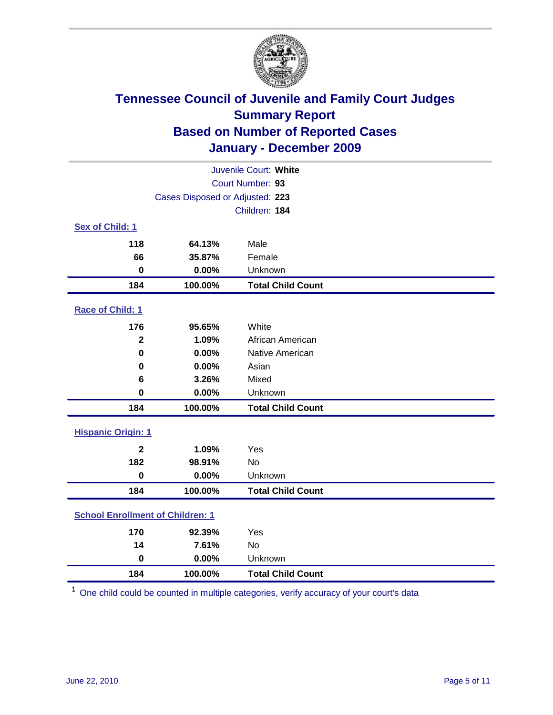

| Juvenile Court: White                   |                                 |                          |  |  |  |
|-----------------------------------------|---------------------------------|--------------------------|--|--|--|
|                                         | Court Number: 93                |                          |  |  |  |
|                                         | Cases Disposed or Adjusted: 223 |                          |  |  |  |
|                                         |                                 | Children: 184            |  |  |  |
| Sex of Child: 1                         |                                 |                          |  |  |  |
| 118                                     | 64.13%                          | Male                     |  |  |  |
| 66                                      | 35.87%                          | Female                   |  |  |  |
| $\mathbf 0$                             | 0.00%                           | Unknown                  |  |  |  |
| 184                                     | 100.00%                         | <b>Total Child Count</b> |  |  |  |
| Race of Child: 1                        |                                 |                          |  |  |  |
| 176                                     | 95.65%                          | White                    |  |  |  |
| $\overline{\mathbf{2}}$                 | 1.09%                           | African American         |  |  |  |
| $\mathbf 0$                             | 0.00%                           | Native American          |  |  |  |
| $\mathbf 0$                             | 0.00%                           | Asian                    |  |  |  |
| 6                                       | 3.26%                           | Mixed                    |  |  |  |
| $\mathbf 0$                             | 0.00%                           | Unknown                  |  |  |  |
| 184                                     | 100.00%                         | <b>Total Child Count</b> |  |  |  |
| <b>Hispanic Origin: 1</b>               |                                 |                          |  |  |  |
| $\mathbf{2}$                            | 1.09%                           | Yes                      |  |  |  |
| 182                                     | 98.91%                          | <b>No</b>                |  |  |  |
| $\mathbf 0$                             | 0.00%                           | Unknown                  |  |  |  |
| 184                                     | 100.00%                         | <b>Total Child Count</b> |  |  |  |
| <b>School Enrollment of Children: 1</b> |                                 |                          |  |  |  |
| 170                                     | 92.39%                          | Yes                      |  |  |  |
| 14                                      | 7.61%                           | No                       |  |  |  |
| $\mathbf 0$                             | 0.00%                           | Unknown                  |  |  |  |
| 184                                     | 100.00%                         | <b>Total Child Count</b> |  |  |  |

One child could be counted in multiple categories, verify accuracy of your court's data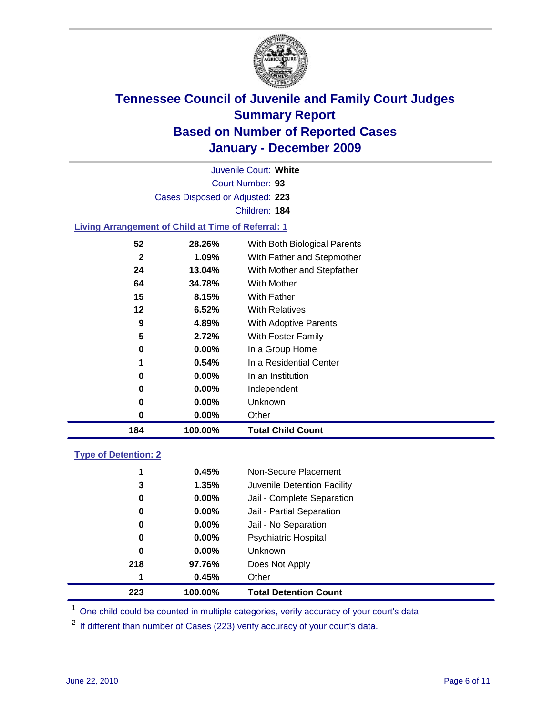

Court Number: **93** Juvenile Court: **White** Cases Disposed or Adjusted: **223** Children: **184**

#### **Living Arrangement of Child at Time of Referral: 1**

| 184 | 100.00%  | <b>Total Child Count</b>     |
|-----|----------|------------------------------|
| 0   | $0.00\%$ | Other                        |
| 0   | $0.00\%$ | Unknown                      |
| 0   | $0.00\%$ | Independent                  |
| 0   | $0.00\%$ | In an Institution            |
| 1   | 0.54%    | In a Residential Center      |
| 0   | 0.00%    | In a Group Home              |
| 5   | 2.72%    | With Foster Family           |
| 9   | 4.89%    | With Adoptive Parents        |
| 12  | $6.52\%$ | <b>With Relatives</b>        |
| 15  | 8.15%    | With Father                  |
| 64  | 34.78%   | With Mother                  |
| 24  | 13.04%   | With Mother and Stepfather   |
| 2   | $1.09\%$ | With Father and Stepmother   |
| 52  | 28.26%   | With Both Biological Parents |
|     |          |                              |

#### **Type of Detention: 2**

| 223 | 100.00%       |                | <b>Total Detention Count</b> |
|-----|---------------|----------------|------------------------------|
|     | 0.45%<br>1    | Other          |                              |
| 218 | 97.76%        |                | Does Not Apply               |
|     | 0<br>$0.00\%$ | <b>Unknown</b> |                              |
|     | 0.00%<br>0    |                | <b>Psychiatric Hospital</b>  |
|     | 0.00%<br>0    |                | Jail - No Separation         |
|     | 0<br>$0.00\%$ |                | Jail - Partial Separation    |
|     | 0<br>$0.00\%$ |                | Jail - Complete Separation   |
|     | 3<br>1.35%    |                | Juvenile Detention Facility  |
|     | 0.45%<br>1    |                | Non-Secure Placement         |
|     |               |                |                              |

<sup>1</sup> One child could be counted in multiple categories, verify accuracy of your court's data

<sup>2</sup> If different than number of Cases (223) verify accuracy of your court's data.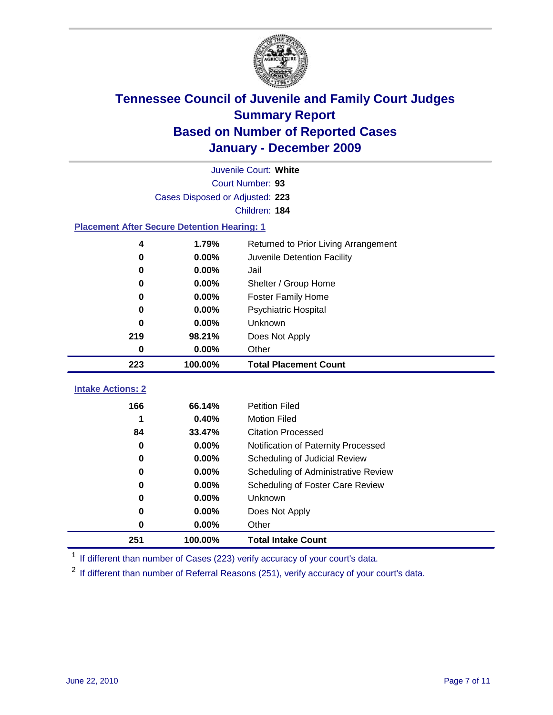

|                                                    | Juvenile Court: White           |                                      |  |  |  |
|----------------------------------------------------|---------------------------------|--------------------------------------|--|--|--|
|                                                    | Court Number: 93                |                                      |  |  |  |
|                                                    | Cases Disposed or Adjusted: 223 |                                      |  |  |  |
|                                                    |                                 | Children: 184                        |  |  |  |
| <b>Placement After Secure Detention Hearing: 1</b> |                                 |                                      |  |  |  |
| 4                                                  | 1.79%                           | Returned to Prior Living Arrangement |  |  |  |
| $\bf{0}$                                           | 0.00%                           | Juvenile Detention Facility          |  |  |  |
| 0                                                  | 0.00%                           | Jail                                 |  |  |  |
| 0                                                  | 0.00%                           | Shelter / Group Home                 |  |  |  |
| 0                                                  | 0.00%                           | Foster Family Home                   |  |  |  |
| 0                                                  | 0.00%                           | Psychiatric Hospital                 |  |  |  |
| 0                                                  | 0.00%                           | Unknown                              |  |  |  |
| 219                                                | 98.21%                          | Does Not Apply                       |  |  |  |
| 0                                                  | $0.00\%$                        | Other                                |  |  |  |
| 223                                                | 100.00%                         | <b>Total Placement Count</b>         |  |  |  |
| <b>Intake Actions: 2</b>                           |                                 |                                      |  |  |  |
|                                                    |                                 |                                      |  |  |  |
| 166                                                | 66.14%                          | <b>Petition Filed</b>                |  |  |  |
| 1                                                  | 0.40%                           | <b>Motion Filed</b>                  |  |  |  |
| 84                                                 | 33.47%                          | <b>Citation Processed</b>            |  |  |  |
| 0                                                  | 0.00%                           | Notification of Paternity Processed  |  |  |  |
| $\bf{0}$                                           | 0.00%                           | Scheduling of Judicial Review        |  |  |  |
| $\bf{0}$                                           | 0.00%                           | Scheduling of Administrative Review  |  |  |  |
| 0                                                  | 0.00%                           | Scheduling of Foster Care Review     |  |  |  |
| 0                                                  | 0.00%                           | Unknown                              |  |  |  |
| 0                                                  | 0.00%                           | Does Not Apply                       |  |  |  |
| $\pmb{0}$                                          | 0.00%                           | Other                                |  |  |  |
| 251                                                | 100.00%                         | <b>Total Intake Count</b>            |  |  |  |

<sup>1</sup> If different than number of Cases (223) verify accuracy of your court's data.

<sup>2</sup> If different than number of Referral Reasons (251), verify accuracy of your court's data.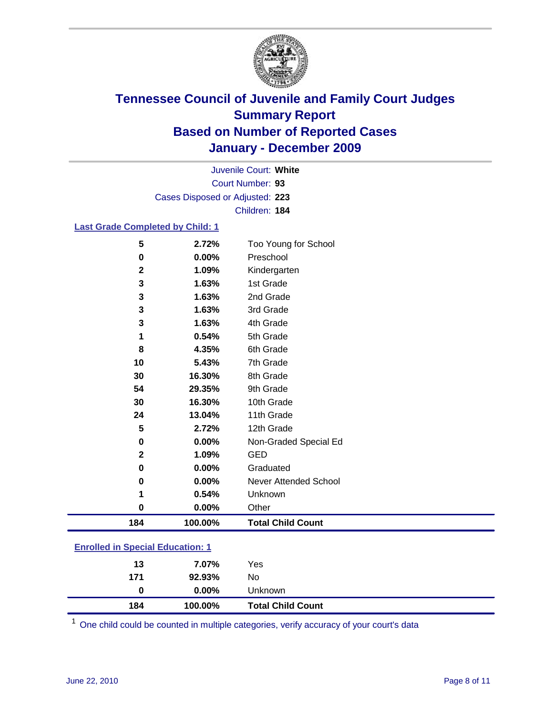

Court Number: **93** Juvenile Court: **White** Cases Disposed or Adjusted: **223** Children: **184**

#### **Last Grade Completed by Child: 1**

| 5                                       | 2.72%   | Too Young for School         |  |
|-----------------------------------------|---------|------------------------------|--|
| $\pmb{0}$                               | 0.00%   | Preschool                    |  |
| $\mathbf 2$                             | 1.09%   | Kindergarten                 |  |
| 3                                       | 1.63%   | 1st Grade                    |  |
| 3                                       | 1.63%   | 2nd Grade                    |  |
| 3                                       | 1.63%   | 3rd Grade                    |  |
| 3                                       | 1.63%   | 4th Grade                    |  |
| 1                                       | 0.54%   | 5th Grade                    |  |
| 8                                       | 4.35%   | 6th Grade                    |  |
| 10                                      | 5.43%   | 7th Grade                    |  |
| 30                                      | 16.30%  | 8th Grade                    |  |
| 54                                      | 29.35%  | 9th Grade                    |  |
| 30                                      | 16.30%  | 10th Grade                   |  |
| 24                                      | 13.04%  | 11th Grade                   |  |
| 5                                       | 2.72%   | 12th Grade                   |  |
| 0                                       | 0.00%   | Non-Graded Special Ed        |  |
| $\mathbf 2$                             | 1.09%   | <b>GED</b>                   |  |
| 0                                       | 0.00%   | Graduated                    |  |
| 0                                       | 0.00%   | <b>Never Attended School</b> |  |
| 1                                       | 0.54%   | Unknown                      |  |
| $\mathbf 0$                             | 0.00%   | Other                        |  |
| 184                                     | 100.00% | <b>Total Child Count</b>     |  |
| <b>Enrolled in Special Education: 1</b> |         |                              |  |

| 184                                       | 100.00%  | <b>Total Child Count</b> |  |  |
|-------------------------------------------|----------|--------------------------|--|--|
| 0                                         | $0.00\%$ | Unknown                  |  |  |
| 171                                       | 92.93%   | No                       |  |  |
| 13                                        | 7.07%    | Yes                      |  |  |
| <u>Lillolled III opecial Luucation. T</u> |          |                          |  |  |

One child could be counted in multiple categories, verify accuracy of your court's data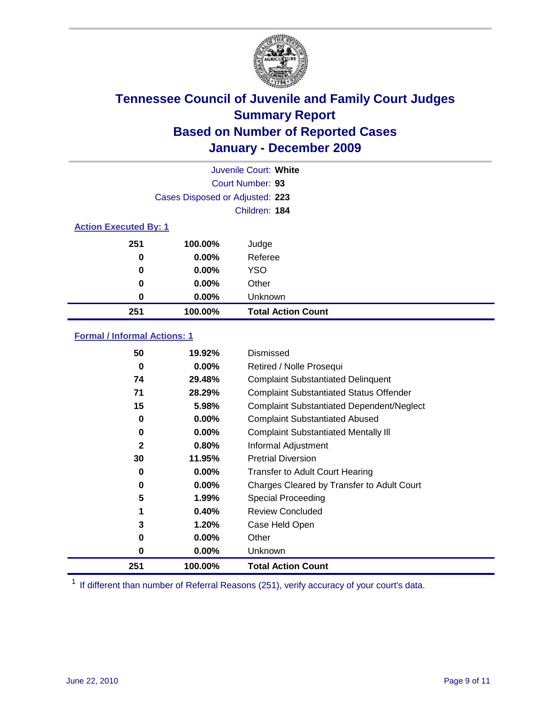

| Juvenile Court: White        |                                 |                           |  |  |
|------------------------------|---------------------------------|---------------------------|--|--|
|                              | Court Number: 93                |                           |  |  |
|                              | Cases Disposed or Adjusted: 223 |                           |  |  |
|                              |                                 | Children: 184             |  |  |
| <b>Action Executed By: 1</b> |                                 |                           |  |  |
| 251                          | 100.00%                         | Judge                     |  |  |
| $\bf{0}$                     | $0.00\%$                        | Referee                   |  |  |
| $\bf{0}$                     | 0.00%                           | <b>YSO</b>                |  |  |
| 0                            | 0.00%                           | Other                     |  |  |
| 0                            | 0.00%                           | Unknown                   |  |  |
| 251                          | 100.00%                         | <b>Total Action Count</b> |  |  |

#### **Formal / Informal Actions: 1**

| 50           | 19.92%   | Dismissed                                        |
|--------------|----------|--------------------------------------------------|
| 0            | $0.00\%$ | Retired / Nolle Prosequi                         |
| 74           | 29.48%   | <b>Complaint Substantiated Delinquent</b>        |
| 71           | 28.29%   | <b>Complaint Substantiated Status Offender</b>   |
| 15           | 5.98%    | <b>Complaint Substantiated Dependent/Neglect</b> |
| 0            | $0.00\%$ | <b>Complaint Substantiated Abused</b>            |
| 0            | $0.00\%$ | <b>Complaint Substantiated Mentally III</b>      |
| $\mathbf{2}$ | 0.80%    | Informal Adjustment                              |
| 30           | 11.95%   | <b>Pretrial Diversion</b>                        |
| 0            | $0.00\%$ | <b>Transfer to Adult Court Hearing</b>           |
| 0            | $0.00\%$ | Charges Cleared by Transfer to Adult Court       |
| 5            | 1.99%    | <b>Special Proceeding</b>                        |
| 1            | 0.40%    | <b>Review Concluded</b>                          |
| 3            | 1.20%    | Case Held Open                                   |
| 0            | $0.00\%$ | Other                                            |
| 0            | $0.00\%$ | <b>Unknown</b>                                   |
| 251          | 100.00%  | <b>Total Action Count</b>                        |

<sup>1</sup> If different than number of Referral Reasons (251), verify accuracy of your court's data.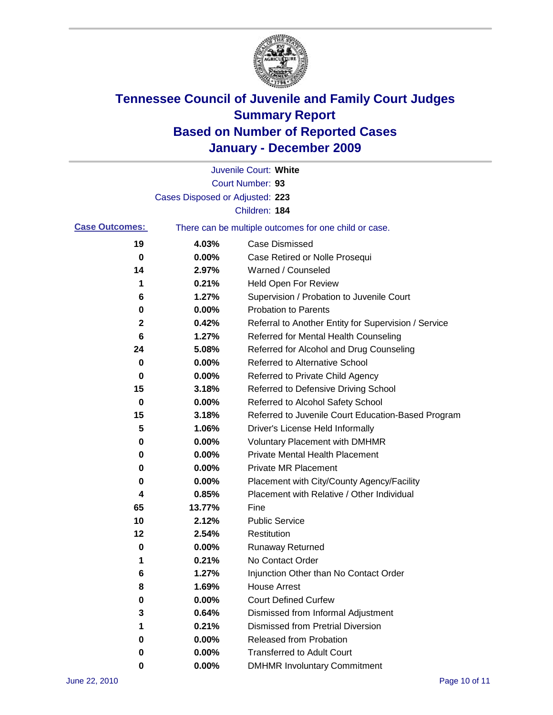

|                       |                                 | Juvenile Court: White                                 |
|-----------------------|---------------------------------|-------------------------------------------------------|
|                       |                                 | Court Number: 93                                      |
|                       | Cases Disposed or Adjusted: 223 |                                                       |
|                       |                                 | Children: 184                                         |
| <b>Case Outcomes:</b> |                                 | There can be multiple outcomes for one child or case. |
| 19                    | 4.03%                           | <b>Case Dismissed</b>                                 |
| 0                     | 0.00%                           | Case Retired or Nolle Prosequi                        |
| 14                    | 2.97%                           | Warned / Counseled                                    |
| 1                     | 0.21%                           | Held Open For Review                                  |
| 6                     | 1.27%                           | Supervision / Probation to Juvenile Court             |
| 0                     | 0.00%                           | <b>Probation to Parents</b>                           |
| 2                     | 0.42%                           | Referral to Another Entity for Supervision / Service  |
| 6                     | 1.27%                           | Referred for Mental Health Counseling                 |
| 24                    | 5.08%                           | Referred for Alcohol and Drug Counseling              |
| 0                     | 0.00%                           | <b>Referred to Alternative School</b>                 |
| 0                     | 0.00%                           | Referred to Private Child Agency                      |
| 15                    | 3.18%                           | Referred to Defensive Driving School                  |
| 0                     | 0.00%                           | Referred to Alcohol Safety School                     |
| 15                    | 3.18%                           | Referred to Juvenile Court Education-Based Program    |
| 5                     | 1.06%                           | Driver's License Held Informally                      |
| 0                     | 0.00%                           | <b>Voluntary Placement with DMHMR</b>                 |
| 0                     | 0.00%                           | <b>Private Mental Health Placement</b>                |
| 0                     | 0.00%                           | <b>Private MR Placement</b>                           |
| 0                     | 0.00%                           | Placement with City/County Agency/Facility            |
| 4                     | 0.85%                           | Placement with Relative / Other Individual            |
| 65                    | 13.77%                          | Fine                                                  |
| 10                    | 2.12%                           | <b>Public Service</b>                                 |
| 12                    | 2.54%                           | Restitution                                           |
| 0                     | 0.00%                           | Runaway Returned                                      |
| 1                     | 0.21%                           | No Contact Order                                      |
| 6                     | 1.27%                           | Injunction Other than No Contact Order                |
| 8                     | 1.69%                           | <b>House Arrest</b>                                   |
| 0                     | 0.00%                           | <b>Court Defined Curfew</b>                           |
| 3                     | 0.64%                           | Dismissed from Informal Adjustment                    |
| 1                     | 0.21%                           | <b>Dismissed from Pretrial Diversion</b>              |
| 0                     | 0.00%                           | <b>Released from Probation</b>                        |
| 0                     | 0.00%                           | <b>Transferred to Adult Court</b>                     |
| 0                     | $0.00\%$                        | <b>DMHMR Involuntary Commitment</b>                   |